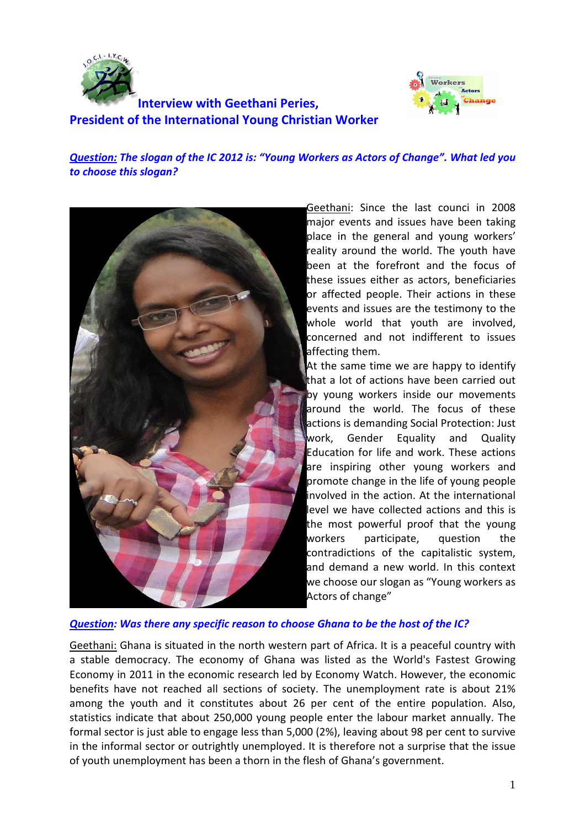



# **Interview with Geethani Peries, President of the International Young Christian Worker**

# *Question: The slogan of the IC 2012 is: "Young Workers as Actors of Change". What led you to choose this slogan?*



Geethani: Since the last counci in 2008 major events and issues have been taking place in the general and young workers' reality around the world. The youth have been at the forefront and the focus of these issues either as actors, beneficiaries or affected people. Their actions in these events and issues are the testimony to the whole world that youth are involved. concerned and not indifferent to issues affecting them.

At the same time we are happy to identify that a lot of actions have been carried out by young workers inside our movements around the world. The focus of these actions is demanding Social Protection: Just work, Gender Equality and Quality Education for life and work. These actions are inspiring other young workers and promote change in the life of young people involved in the action. At the international level we have collected actions and this is the most powerful proof that the young workers participate, question the contradictions of the capitalistic system, and demand a new world. In this context we choose our slogan as "Young workers as Actors of change"

# *Question: Was there any specific reason to choose Ghana to be the host of the IC?*

Geethani: Ghana is situated in the north western part of Africa. It is a peaceful country with a stable democracy. The economy of Ghana was listed as the World's Fastest Growing Economy in 2011 in the economic research led by Economy Watch. However, the economic benefits have not reached all sections of society. The unemployment rate is about 21% among the youth and it constitutes about 26 per cent of the entire population. Also, statistics indicate that about 250,000 young people enter the labour market annually. The formal sector is just able to engage less than 5,000 (2%), leaving about 98 per cent to survive in the informal sector or outrightly unemployed. It is therefore not a surprise that the issue of youth unemployment has been a thorn in the flesh of Ghana's government.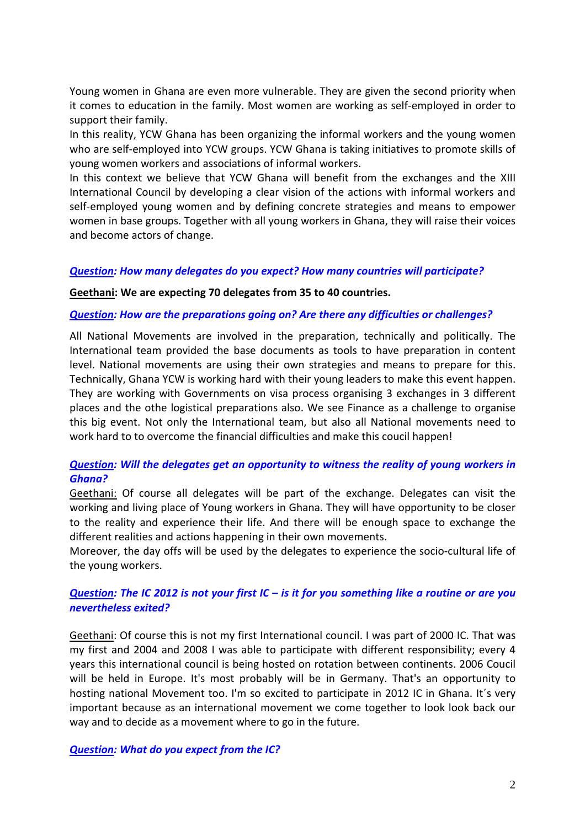Young women in Ghana are even more vulnerable. They are given the second priority when it comes to education in the family. Most women are working as self-employed in order to support their family.

In this reality, YCW Ghana has been organizing the informal workers and the young women who are self-employed into YCW groups. YCW Ghana is taking initiatives to promote skills of young women workers and associations of informal workers.

In this context we believe that YCW Ghana will benefit from the exchanges and the XIII International Council by developing a clear vision of the actions with informal workers and self-employed young women and by defining concrete strategies and means to empower women in base groups. Together with all young workers in Ghana, they will raise their voices and become actors of change.

#### *Question: How many delegates do you expect? How many countries will participate?*

#### **Geethani: We are expecting 70 delegates from 35 to 40 countries.**

#### *Question: How are the preparations going on? Are there any difficulties or challenges?*

All National Movements are involved in the preparation, technically and politically. The International team provided the base documents as tools to have preparation in content level. National movements are using their own strategies and means to prepare for this. Technically, Ghana YCW is working hard with their young leaders to make this event happen. They are working with Governments on visa process organising 3 exchanges in 3 different places and the othe logistical preparations also. We see Finance as a challenge to organise this big event. Not only the International team, but also all National movements need to work hard to to overcome the financial difficulties and make this coucil happen!

# *Question: Will the delegates get an opportunity to witness the reality of young workers in Ghana?*

Geethani: Of course all delegates will be part of the exchange. Delegates can visit the working and living place of Young workers in Ghana. They will have opportunity to be closer to the reality and experience their life. And there will be enough space to exchange the different realities and actions happening in their own movements.

Moreover, the day offs will be used by the delegates to experience the socio-cultural life of the young workers.

# *Question: The IC 2012 is not your first IC – is it for you something like a routine or are you nevertheless exited?*

Geethani: Of course this is not my first International council. I was part of 2000 IC. That was my first and 2004 and 2008 I was able to participate with different responsibility; every 4 years this international council is being hosted on rotation between continents. 2006 Coucil will be held in Europe. It's most probably will be in Germany. That's an opportunity to hosting national Movement too. I'm so excited to participate in 2012 IC in Ghana. It´s very important because as an international movement we come together to look look back our way and to decide as a movement where to go in the future.

*Question: What do you expect from the IC?*